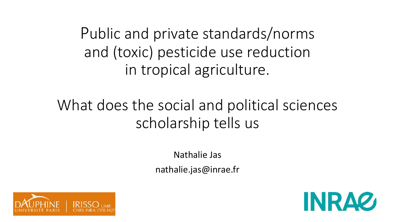Public and private standards/norms and (toxic) pesticide use reduction in tropical agriculture.

## What does the social and political sciences scholarship tells us

Nathalie Jas nathalie.jas@inrae.fr



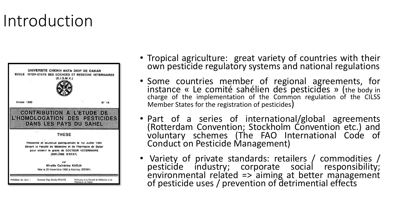## Introduction



- Tropical agriculture: great variety of countries with their own pesticide regulatory systems and national regulations
- Some countries member of regional agreements, for instance « Le comité sahélien des pesticides » (the body in charge of the implementation of the Common regulation of the CILSS Member States for the registration of pesticides)
- Part of a series of international/global agreements (Rotterdam Convention; Stockholm Convention etc.) and voluntary schemes (The FAO International Code of Conduct on Pesticide Management)
- Variety of private standards: retailers / commodities / pesticide industry; corporate social responsibility; environmental related => aiming at better management of pesticide uses / prevention of detrimential effects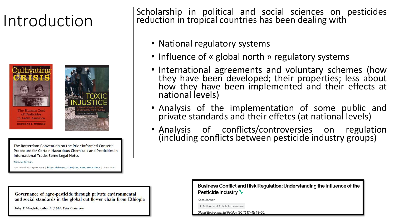



The Rotterdam Convention on the Prior Informed Consent Procedure for Certain Hazardous Chemicals and Pesticides in International Trade: Some Legal Notes

Ted L. McDorman

First published: 17 June 2004 | https://doi.org/10.1111/j.1467-9388.2004.00396.x | Citations: 5

 $\left|$  Introduction  $\right|$  Scholarship in political and social sciences on pesticides  $\left|$  reduction in tropical countries has been dealing with reduction in tropical countries has been dealing with

- National regulatory systems
- Influence of « global north » regulatory systems
- International agreements and voluntary schemes (how they have been developed; their properties; less about how they have been implemented and their effects at national levels)
- Analysis of the implementation of some public and private standards and their effetcs (at national levels)
- Analysis of conflicts/controversies on regulation (including conflicts between pesticide industry groups)

Business Conflict and Risk Regulation: Understanding the Influence of the **Pesticide Industry of** 

Kees Jansen

> Author and Article Information

Global Environmental Politics (2017) 17 (4): 48-66.

Governance of agro-pesticide through private environmental and social standards in the global cut flower chain from Ethiopia

Belay T. Mengistie, Arthur P. J. Mol, Peter Oosterveer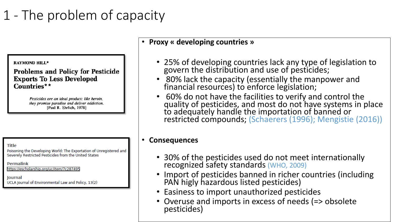### 1 - The problem of capacity

### • **Proxy « developing countries »**

### **RAYMOND HILL\***

**Problems and Policy for Pesticide Exports To Less Developed** Countries\*\*

> Pesticides are an ideal product: like heroin, they promise paradise and deliver addiction. [Paul R. Ehrlich, 1978]

**Title** 

Poisoning the Developing World: The Exportation of Unregistered and Severely Restricted Pesticides from the United States

Permalink

https://escholarship.org/uc/item/7c287495

**Journal** UCLA Journal of Environmental Law and Policy, 13(2)

- 25% of developing countries lack any type of legislation to govern the distribution and use of pesticides;
- 80% lack the capacity (essentially the manpower and financial resources) to enforce legislation;
- 60% do not have the facilities to verify and control the quality of pesticides, and most do not have systems in place to adequately handle the importation of banned or restricted compounds; (Schaerers (1996); Mengistie (2016))

### • **Consequences**

- 30% of the pesticides used do not meet internationally recognized safety standards (WHO, 2009)
- Import of pesticides banned in richer countries (including PAN higly hazardous listed pesticides)
- Easiness to import unauthorized pesticides
- Overuse and imports in excess of needs (=> obsolete pesticides)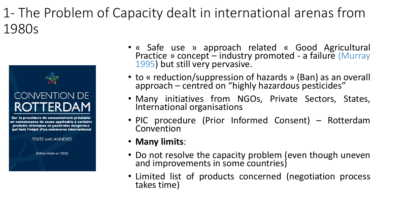### 1- The Problem of Capacity dealt in international arenas from 1980s



Sur la procédure de consentement préalable en connaissance de cause applicable à certains produits chimiques et pesticides dangereux qui font l'objet d'un commerce international

**TEXTE AVEC ANNEXES** 

(Edition révisée en 2008)

- « Safe use » approach related « Good Agricultural Practice » concept – industry promoted - a failure (Murray 1995) but still very pervasive.
- to « reduction/suppression of hazards » (Ban) as an overall approach – centred on "highly hazardous pesticides"
- Many initiatives from NGOs, Private Sectors, States, International organisations
- PIC procedure (Prior Informed Consent) Rotterdam Convention
- **Many limits**:
- Do not resolve the capacity problem (even though uneven and improvements in some countries)
- Limited list of products concerned (negotiation process takes time)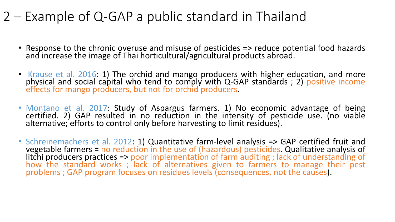### 2 – Example of Q-GAP a public standard in Thailand

- Response to the chronic overuse and misuse of pesticides => reduce potential food hazards and increase the image of Thai horticultural/agricultural products abroad.
- Krause et al. 2016: 1) The orchid and mango producers with higher education, and more physical and social capital who tend to comply with Q-GAP standards ; 2) positive income effects for mango producers, but not for orchid producers.
- Montano et al. 2017: Study of Aspargus farmers. 1) No economic advantage of being certified. 2) GAP resulted in no reduction in the intensity of pesticide use. (no viable alternative; efforts to control only before harvesting to limit residues).
- Schreinemachers et al. 2012: 1) Quantitative farm-level analysis => GAP certified fruit and vegetable farmers = no reduction in the use of (hazardous) pesticides. Qualitative analysis of litchi producers practices => poor implementation of farm auditing ; lack of understanding of how the standard works; lack of alternatives given to farmers to manage their pest problems ; GAP program focuses on residues levels (consequences, not the causes).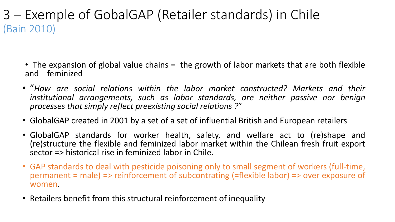3 – Exemple of GobalGAP (Retailer standards) in Chile (Bain 2010)

- The expansion of global value chains = the growth of labor markets that are both flexible and feminized
- "*How are social relations within the labor market constructed? Markets and their institutional arrangements, such as labor standards, are neither passive nor benign processes that simply reflect preexisting social relations ?*"
- GlobalGAP created in 2001 by a set of a set of influential British and European retailers
- GlobalGAP standards for worker health, safety, and welfare act to (re)shape and (re)structure the flexible and feminized labor market within the Chilean fresh fruit export sector => historical rise in feminized labor in Chile.
- GAP standards to deal with pesticide poisoning only to small segment of workers (full-time, permanent = male) => reinforcement of subcontrating (=flexible labor) => over exposure of women.
- Retailers benefit from this structural reinforcement of inequality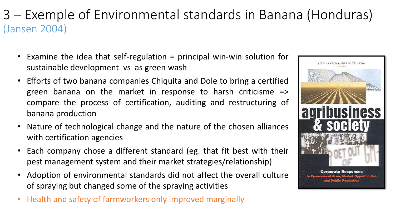### 3 – Exemple of Environmental standards in Banana (Honduras) (Jansen 2004)

- Examine the idea that self-regulation = principal win-win solution for sustainable development vs as green wash
- Efforts of two banana companies Chiquita and Dole to bring a certified green banana on the market in response to harsh criticisme => compare the process of certification, auditing and restructuring of banana production
- Nature of technological change and the nature of the chosen alliances with certification agencies
- Each company chose a different standard (eg. that fit best with their pest management system and their market strategies/relationship)
- Adoption of environmental standards did not affect the overall culture of spraying but changed some of the spraying activities
- Health and safety of farmworkers only improved marginally